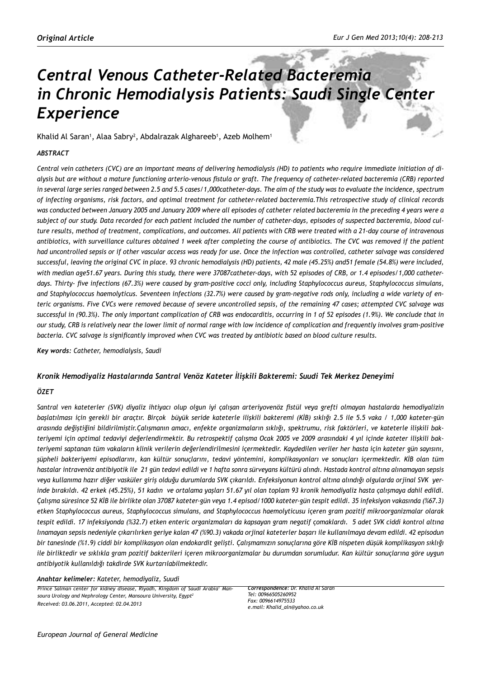# *Central Venous Catheter-Related Bacteremia in Chronic Hemodialysis Patients: Saudi Single Center Experience*

Khalid Al Saran<sup>1</sup>, Alaa Sabry<sup>2</sup>, Abdalrazak Alghareeb<sup>1</sup>, Azeb Molhem<sup>1</sup>

# *ABSTRACT*

*Central vein catheters (CVC) are an important means of delivering hemodialysis (HD) to patients who require immediate initiation of dialysis but are without a mature functioning arterio-venous fistula or graft. The frequency of catheter-related bacteremia (CRB) reported in several large series ranged between 2.5 and 5.5 cases/1,000catheter-days. The aim of the study was to evaluate the incidence, spectrum of infecting organisms, risk factors, and optimal treatment for catheter-related bacteremia.This retrospective study of clinical records was conducted between January 2005 and January 2009 where all episodes of catheter related bacteremia in the preceding 4 years were a subject of our study. Data recorded for each patient included the number of catheter-days, episodes of suspected bacteremia, blood culture results, method of treatment, complications, and outcomes. All patients with CRB were treated with a 21-day course of intravenous antibiotics, with surveillance cultures obtained 1 week after completing the course of antibiotics. The CVC was removed if the patient had uncontrolled sepsis or if other vascular access was ready for use. Once the infection was controlled, catheter salvage was considered successful, leaving the original CVC in place. 93 chronic hemodialysis (HD) patients, 42 male (45.25%) and51 female (54.8%) were included, with median age51.67 years. During this study, there were 37087catheter-days, with 52 episodes of CRB, or 1.4 episodes/1,000 catheterdays. Thirty- five infections (67.3%) were caused by gram-positive cocci only, including Staphylococcus aureus, Staphylococcus simulans, and Staphylococcus haemolyticus. Seventeen infections (32.7%) were caused by gram-negative rods only, including a wide variety of enteric organisms. Five CVCs were removed because of severe uncontrolled sepsis, of the remaining 47 cases; attempted CVC salvage was successful in (90.3%). The only important complication of CRB was endocarditis, occurring in 1 of 52 episodes (1.9%). We conclude that in our study, CRB is relatively near the lower limit of normal range with low incidence of complication and frequently involves gram-positive bacteria. CVC salvage is significantly improved when CVC was treated by antibiotic based on blood culture results.*

*Key words: Catheter, hemodialysis, Saudi*

# *Kronik Hemodiyaliz Hastalarında Santral Venöz Kateter İlişkili Bakteremi: Suudi Tek Merkez Deneyimi*

# *ÖZET*

*Santral ven kateterler (SVK) diyaliz ihtiyacı olup olgun iyi çalışan arteriyovenöz fistül veya grefti olmayan hastalarda hemodiyalizin başlatılması için gerekli bir araçtır. Birçok büyük seride kateterle ilişkili bakteremi (KİB) sıklığı 2.5 ile 5.5 vaka / 1,000 kateter-gün arasında değiştiğini bildirilmiştir.Çalışmanın amacı, enfekte organizmaların sıklığı, spektrumu, risk faktörleri, ve kateterle ilişkili bakteriyemi için optimal tedaviyi değerlendirmektir. Bu retrospektif çalışma Ocak 2005 ve 2009 arasındaki 4 yıl içinde kateter ilişkili bakteriyemi saptanan tüm vakaların klinik verilerin değerlendirilmesini içermektedir. Kaydedilen veriler her hasta için kateter gün sayısını, şüpheli bakteriyemi episodlarını, kan kültür sonuçlarını, tedavi yöntemini, komplikasyonları ve sonuçları içermektedir. KİB olan tüm hastalar intravenöz antibiyotik ile 21 gün tedavi edildi ve 1 hafta sonra sürveyans kültürü alındı. Hastada kontrol altına alınamayan sepsis veya kullanıma hazır diğer vasküler giriş olduğu durumlarda SVK çıkarıldı. Enfeksiyonun kontrol altına alındığı olgularda orjinal SVK yerinde bırakıldı. 42 erkek (45.25%), 51 kadın ve ortalama yaşları 51.67 yıl olan toplam 93 kronik hemodiyaliz hasta çalışmaya dahil edildi. Çalışma süresince 52 KİB ile birlikte olan 37087 kateter-gün veya 1.4 episod/1000 kateter-gün tespit edildi. 35 infeksiyon vakasında (%67.3) etken Staphylococcus aureus, Staphylococcus simulans, and Staphylococcus haemolyticusu içeren gram pozitif mikroorganizmalar olarak tespit edildi. 17 infeksiyonda (%32.7) etken enteric organizmaları da kapsayan gram negatif çomaklardı. 5 adet SVK ciddi kontrol altına lınamayan sepsis nedeniyle çıkarılırken geriye kalan 47 (%90.3) vakada orjinal kateterler başarı ile kullanılmaya devam edildi. 42 episodun bir tanesinde (%1.9) ciddi bir komplikasyon olan endokardit gelişti. Çalışmamızın sonuçlarına göre KİB nispeten düşük komplikasyon sıklığı ile birliktedir ve sıklıkla gram pozitif bakterileri içeren mikroorganizmalar bu durumdan sorumludur. Kan kültür sonuçlarına göre uygun antibiyotik kullanıldığı takdirde SVK kurtarılabilmektedir.*

*Anahtar kelimeler: Kateter, hemodiyaliz, Suudi*

*Prince Salman center for kidney disease, Riyadh, Kingdom of Saudi Arabia1 Mansoura Urology and Nephrology Center, Mansoura University, Egypt<sup>2</sup> Received: 03.06.2011, Accepted: 02.04.2013*

*Correspondence: Dr. Khalid Al Saran Tel: 00966505260952 Fax: 0096614975533 e.mail: Khalid\_aln@yahoo.co.uk*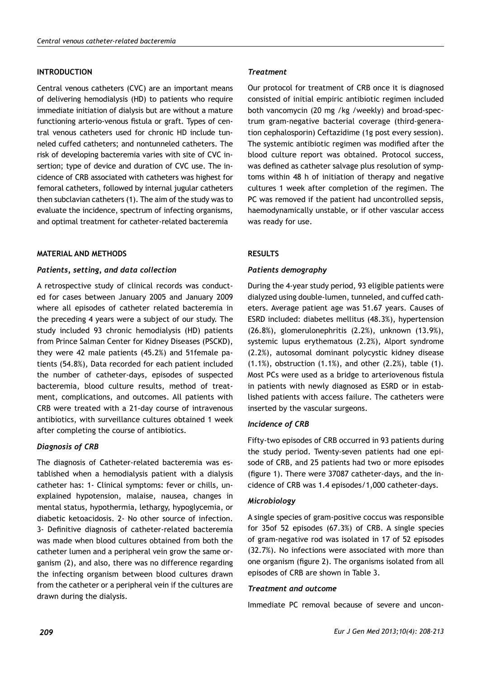# **INTRODUCTION**

Central venous catheters (CVC) are an important means of delivering hemodialysis (HD) to patients who require immediate initiation of dialysis but are without a mature functioning arterio-venous fistula or graft. Types of central venous catheters used for chronic HD include tunneled cuffed catheters; and nontunneled catheters. The risk of developing bacteremia varies with site of CVC insertion; type of device and duration of CVC use. The incidence of CRB associated with catheters was highest for femoral catheters, followed by internal jugular catheters then subclavian catheters (1). The aim of the study was to evaluate the incidence, spectrum of infecting organisms, and optimal treatment for catheter-related bacteremia

# **MATERIAL AND METHODS**

# *Patients, setting, and data collection*

A retrospective study of clinical records was conducted for cases between January 2005 and January 2009 where all episodes of catheter related bacteremia in the preceding 4 years were a subject of our study. The study included 93 chronic hemodialysis (HD) patients from Prince Salman Center for Kidney Diseases (PSCKD), they were 42 male patients (45.2%) and 51female patients (54.8%), Data recorded for each patient included the number of catheter-days, episodes of suspected bacteremia, blood culture results, method of treatment, complications, and outcomes. All patients with CRB were treated with a 21-day course of intravenous antibiotics, with surveillance cultures obtained 1 week after completing the course of antibiotics.

# *Diagnosis of CRB*

The diagnosis of Catheter-related bacteremia was established when a hemodialysis patient with a dialysis catheter has: 1- Clinical symptoms: fever or chills, unexplained hypotension, malaise, nausea, changes in mental status, hypothermia, lethargy, hypoglycemia, or diabetic ketoacidosis. 2- No other source of infection. 3- Definitive diagnosis of catheter-related bacteremia was made when blood cultures obtained from both the catheter lumen and a peripheral vein grow the same organism (2), and also, there was no difference regarding the infecting organism between blood cultures drawn from the catheter or a peripheral vein if the cultures are drawn during the dialysis.

# *Treatment*

Our protocol for treatment of CRB once it is diagnosed consisted of initial empiric antibiotic regimen included both vancomycin (20 mg /kg /weekly) and broad-spectrum gram-negative bacterial coverage (third-generation cephalosporin) Ceftazidime (1g post every session). The systemic antibiotic regimen was modified after the blood culture report was obtained. Protocol success, was defined as catheter salvage plus resolution of symptoms within 48 h of initiation of therapy and negative cultures 1 week after completion of the regimen. The PC was removed if the patient had uncontrolled sepsis, haemodynamically unstable, or if other vascular access was ready for use.

# **RESULTS**

# *Patients demography*

During the 4-year study period, 93 eligible patients were dialyzed using double-lumen, tunneled, and cuffed catheters. Average patient age was 51.67 years. Causes of ESRD included: diabetes mellitus (48.3%), hypertension (26.8%), glomerulonephritis (2.2%), unknown (13.9%), systemic lupus erythematous (2.2%), Alport syndrome (2.2%), autosomal dominant polycystic kidney disease (1.1%), obstruction (1.1%), and other (2.2%), table (1). Most PCs were used as a bridge to arteriovenous fistula in patients with newly diagnosed as ESRD or in established patients with access failure. The catheters were inserted by the vascular surgeons.

# *Incidence of CRB*

Fifty-two episodes of CRB occurred in 93 patients during the study period. Twenty-seven patients had one episode of CRB, and 25 patients had two or more episodes (figure 1). There were 37087 catheter-days, and the incidence of CRB was 1.4 episodes/1,000 catheter-days.

# *Microbiology*

A single species of gram-positive coccus was responsible for 35of 52 episodes (67.3%) of CRB. A single species of gram-negative rod was isolated in 17 of 52 episodes (32.7%). No infections were associated with more than one organism (figure 2). The organisms isolated from all episodes of CRB are shown in Table 3.

# *Treatment and outcome*

Immediate PC removal because of severe and uncon-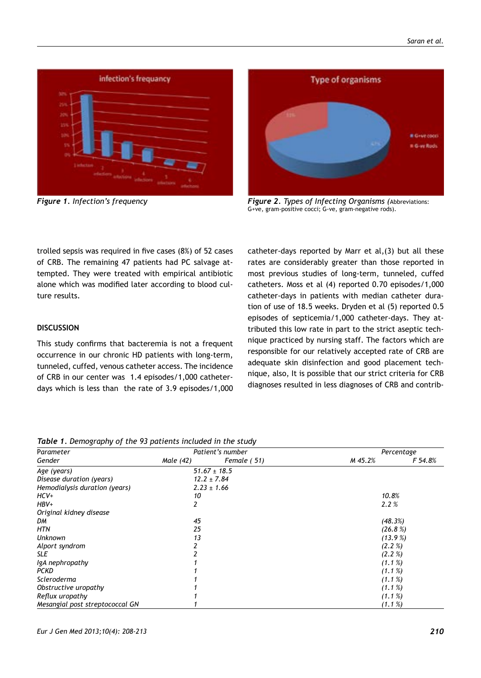



*Figure 1. Infection's frequency Figure 2. Types of Infecting Organisms (*Abbreviations: G+ve, gram-positive cocci; G-ve, gram-negative rods).

trolled sepsis was required in five cases (8%) of 52 cases of CRB. The remaining 47 patients had PC salvage attempted. They were treated with empirical antibiotic alone which was modified later according to blood culture results.

# **DISCUSSION**

This study confirms that bacteremia is not a frequent occurrence in our chronic HD patients with long-term, tunneled, cuffed, venous catheter access. The incidence of CRB in our center was 1.4 episodes/1,000 catheterdays which is less than the rate of 3.9 episodes/1,000 catheter-days reported by Marr et al,(3) but all these rates are considerably greater than those reported in most previous studies of long-term, tunneled, cuffed catheters. Moss et al (4) reported 0.70 episodes/1,000 catheter-days in patients with median catheter duration of use of 18.5 weeks. Dryden et al (5) reported 0.5 episodes of septicemia/1,000 catheter-days. They attributed this low rate in part to the strict aseptic technique practiced by nursing staff. The factors which are responsible for our relatively accepted rate of CRB are adequate skin disinfection and good placement technique, also, It is possible that our strict criteria for CRB diagnoses resulted in less diagnoses of CRB and contrib-

#### *Table 1. Demography of the 93 patients included in the study*

| Parameter                       | Patient's number |                  | Percentage |            |
|---------------------------------|------------------|------------------|------------|------------|
| Gender                          | Male (42)        | Female (51)      | M 45.2%    | F 54.8%    |
| Age (years)                     |                  | $51.67 \pm 18.5$ |            |            |
| Disease duration (years)        | $12.2 \pm 7.84$  |                  |            |            |
| Hemodialysis duration (years)   |                  | $2.23 \pm 1.66$  |            |            |
| $HCV+$                          | 10               |                  |            | 10.8%      |
| $HBV+$                          |                  |                  | 2.2%       |            |
| Original kidney disease         |                  |                  |            |            |
| DM                              | 45               |                  |            | (48.3%)    |
| HTN                             | 25               |                  |            | $(26.8\%)$ |
| <b>Unknown</b>                  | 13               |                  |            | $(13.9\%)$ |
| Alport syndrom                  |                  |                  |            | $(2.2\%)$  |
| SLE.                            |                  |                  |            | (2.2%)     |
| IgA nephropathy                 |                  |                  |            | $(1.1\%)$  |
| <b>PCKD</b>                     |                  |                  |            | $(1.1\%)$  |
| Scleroderma                     |                  |                  |            | $(1.1\%)$  |
| Obstructive uropathy            |                  |                  |            | $(1.1\%)$  |
| Reflux uropathy                 |                  |                  |            | $(1.1\%)$  |
| Mesangial post streptococcal GN |                  |                  |            | $(1.1\%)$  |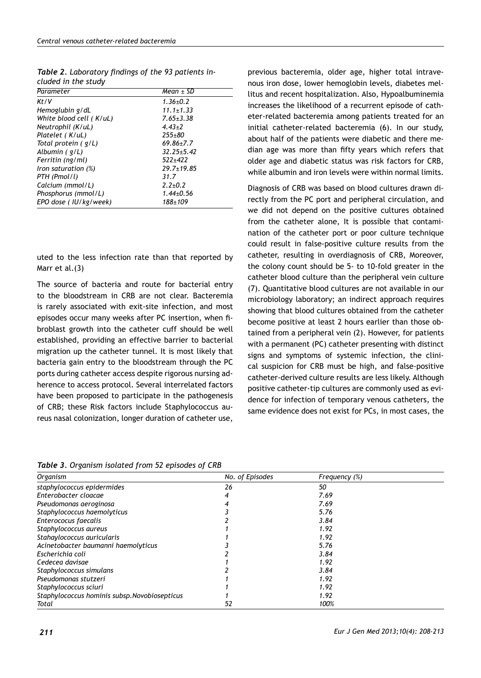| Cluded III Life Study   |                 |  |  |  |
|-------------------------|-----------------|--|--|--|
| Parameter               | Mean $\pm$ SD   |  |  |  |
| Kt/V                    | $1.36 + 0.2$    |  |  |  |
| Hemoglubin g/dL         | $11.1 \pm 1.33$ |  |  |  |
| White blood cell (K/uL) | $7.65 + 3.38$   |  |  |  |
| Neutrophil (K/uL)       | $4.43 + 2$      |  |  |  |
| Platelet (K/uL)         | $255 + 80$      |  |  |  |
| Total protein $(g/L)$   | $69.86 \pm 7.7$ |  |  |  |
| Albumin ( $q/L$ )       | $32.25 + 5.42$  |  |  |  |
| Ferritin (ng/ml)        | $522+422$       |  |  |  |
| Iron saturation (%)     | $29.7 + 19.85$  |  |  |  |
| PTH (Pmol/l)            | 31.7            |  |  |  |
| Calcium (mmol/L)        | $2.2 + 0.2$     |  |  |  |
| Phosphorus (mmol/L)     | $1.44 + 0.56$   |  |  |  |
| EPO dose (IU/kg/week)   | 188±109         |  |  |  |

*Table 2. Laboratory findings of the 93 patients included in the study*

uted to the less infection rate than that reported by Marr et al.(3)

The source of bacteria and route for bacterial entry to the bloodstream in CRB are not clear. Bacteremia is rarely associated with exit-site infection, and most episodes occur many weeks after PC insertion, when fibroblast growth into the catheter cuff should be well established, providing an effective barrier to bacterial migration up the catheter tunnel. It is most likely that bacteria gain entry to the bloodstream through the PC ports during catheter access despite rigorous nursing adherence to access protocol. Several interrelated factors have been proposed to participate in the pathogenesis of CRB; these Risk factors include Staphylococcus aureus nasal colonization, longer duration of catheter use,

previous bacteremia, older age, higher total intravenous iron dose, lower hemoglobin levels, diabetes mellitus and recent hospitalization. Also, Hypoalbuminemia increases the likelihood of a recurrent episode of catheter-related bacteremia among patients treated for an initial catheter-related bacteremia (6). In our study, about half of the patients were diabetic and there median age was more than fifty years which refers that older age and diabetic status was risk factors for CRB, while albumin and iron levels were within normal limits.

Diagnosis of CRB was based on blood cultures drawn directly from the PC port and peripheral circulation, and we did not depend on the positive cultures obtained from the catheter alone, It is possible that contamination of the catheter port or poor culture technique could result in false-positive culture results from the catheter, resulting in overdiagnosis of CRB, Moreover, the colony count should be 5- to 10-fold greater in the catheter blood culture than the peripheral vein culture (7). Quantitative blood cultures are not available in our microbiology laboratory; an indirect approach requires showing that blood cultures obtained from the catheter become positive at least 2 hours earlier than those obtained from a peripheral vein (2). However, for patients with a permanent (PC) catheter presenting with distinct signs and symptoms of systemic infection, the clinical suspicion for CRB must be high, and false-positive catheter-derived culture results are less likely. Although positive catheter-tip cultures are commonly used as evidence for infection of temporary venous catheters, the same evidence does not exist for PCs, in most cases, the

*Table 3. Organism isolated from 52 episodes of CRB*

| <b>Organism</b>                               | No. of Episodes | Frequency (%) |  |
|-----------------------------------------------|-----------------|---------------|--|
| staphylococcus epidermides                    | 26              | 50            |  |
| Enterobacter cloacae                          |                 | 7.69          |  |
| Pseudomonas aeroginosa                        |                 | 7.69          |  |
| Staphylococcus haemolyticus                   |                 | 5.76          |  |
| Enterococus faecalis                          |                 | 3.84          |  |
| Staphylococcus aureus                         |                 | 1.92          |  |
| Stahaylococcus auricularis                    |                 | 1.92          |  |
| Acinetobacter baumanni haemolyticus           |                 | 5.76          |  |
| Escherichia coli                              |                 | 3.84          |  |
| Cedecea davisae                               |                 | 1.92          |  |
| Staphylococcus simulans                       |                 | 3.84          |  |
| Pseudomonas stutzeri                          |                 | 1.92          |  |
| Staphylococcus sciuri                         |                 | 1.92          |  |
| Staphylococcus hominis subsp. Novobiosepticus |                 | 1.92          |  |
| Total                                         | 52              | 100%          |  |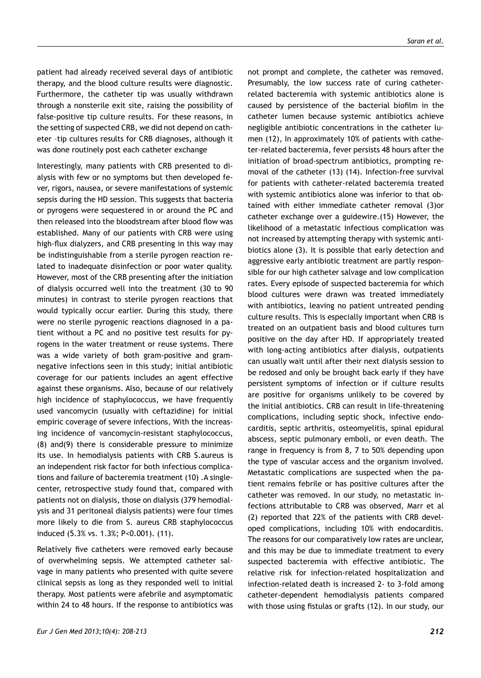patient had already received several days of antibiotic therapy, and the blood culture results were diagnostic. Furthermore, the catheter tip was usually withdrawn through a nonsterile exit site, raising the possibility of false-positive tip culture results. For these reasons, in the setting of suspected CRB, we did not depend on catheter –tip cultures results for CRB diagnoses, although it was done routinely post each catheter exchange

Interestingly, many patients with CRB presented to dialysis with few or no symptoms but then developed fever, rigors, nausea, or severe manifestations of systemic sepsis during the HD session. This suggests that bacteria or pyrogens were sequestered in or around the PC and then released into the bloodstream after blood flow was established. Many of our patients with CRB were using high-flux dialyzers, and CRB presenting in this way may be indistinguishable from a sterile pyrogen reaction related to inadequate disinfection or poor water quality. However, most of the CRB presenting after the initiation of dialysis occurred well into the treatment (30 to 90 minutes) in contrast to sterile pyrogen reactions that would typically occur earlier. During this study, there were no sterile pyrogenic reactions diagnosed in a patient without a PC and no positive test results for pyrogens in the water treatment or reuse systems. There was a wide variety of both gram-positive and gramnegative infections seen in this study; initial antibiotic coverage for our patients includes an agent effective against these organisms. Also, because of our relatively high incidence of staphylococcus, we have frequently used vancomycin (usually with ceftazidine) for initial empiric coverage of severe infections, With the increasing incidence of vancomycin-resistant staphylococcus, (8) and(9) there is considerable pressure to minimize its use. In hemodialysis patients with CRB S.aureus is an independent risk factor for both infectious complications and failure of bacteremia treatment (10) .A singlecenter, retrospective study found that, compared with patients not on dialysis, those on dialysis (379 hemodialysis and 31 peritoneal dialysis patients) were four times more likely to die from S. aureus CRB staphylococcus induced (5.3% vs. 1.3%; P<0.001). (11).

Relatively five catheters were removed early because of overwhelming sepsis. We attempted catheter salvage in many patients who presented with quite severe clinical sepsis as long as they responded well to initial therapy. Most patients were afebrile and asymptomatic within 24 to 48 hours. If the response to antibiotics was not prompt and complete, the catheter was removed. Presumably, the low success rate of curing catheterrelated bacteremia with systemic antibiotics alone is caused by persistence of the bacterial biofilm in the catheter lumen because systemic antibiotics achieve negligible antibiotic concentrations in the catheter lumen (12), In approximately 10% of patients with catheter-related bacteremia, fever persists 48 hours after the initiation of broad-spectrum antibiotics, prompting removal of the catheter (13) (14). Infection-free survival for patients with catheter-related bacteremia treated with systemic antibiotics alone was inferior to that obtained with either immediate catheter removal (3)or catheter exchange over a guidewire.(15) However, the likelihood of a metastatic infectious complication was not increased by attempting therapy with systemic antibiotics alone (3). It is possible that early detection and aggressive early antibiotic treatment are partly responsible for our high catheter salvage and low complication rates. Every episode of suspected bacteremia for which blood cultures were drawn was treated immediately with antibiotics, leaving no patient untreated pending culture results. This is especially important when CRB is treated on an outpatient basis and blood cultures turn positive on the day after HD. If appropriately treated with long-acting antibiotics after dialysis, outpatients can usually wait until after their next dialysis session to be redosed and only be brought back early if they have persistent symptoms of infection or if culture results are positive for organisms unlikely to be covered by the initial antibiotics. CRB can result in life-threatening complications, including septic shock, infective endocarditis, septic arthritis, osteomyelitis, spinal epidural abscess, septic pulmonary emboli, or even death. The range in frequency is from 8, 7 to 50% depending upon the type of vascular access and the organism involved. Metastatic complications are suspected when the patient remains febrile or has positive cultures after the catheter was removed. In our study, no metastatic infections attributable to CRB was observed, Marr et al (2) reported that 22% of the patients with CRB developed complications, including 10% with endocarditis. The reasons for our comparatively low rates are unclear, and this may be due to immediate treatment to every suspected bacteremia with effective antibiotic. The relative risk for infection-related hospitalization and infection-related death is increased 2- to 3-fold among catheter-dependent hemodialysis patients compared with those using fistulas or grafts (12). In our study, our